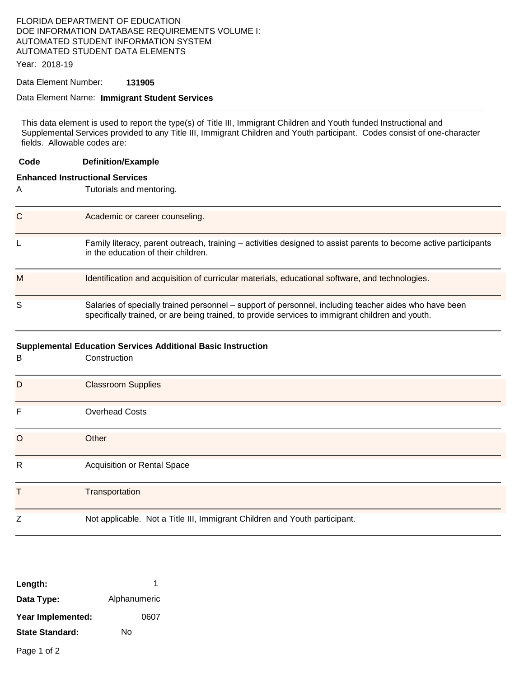### FLORIDA DEPARTMENT OF EDUCATION DOE INFORMATION DATABASE REQUIREMENTS VOLUME I: AUTOMATED STUDENT INFORMATION SYSTEM AUTOMATED STUDENT DATA ELEMENTS

Year: 2018-19

### Data Element Number: **131905**

#### Data Element Name: **Immigrant Student Services**

This data element is used to report the type(s) of Title III, Immigrant Children and Youth funded Instructional and Supplemental Services provided to any Title III, Immigrant Children and Youth participant. Codes consist of one-character fields. Allowable codes are:

| Code                                                                | <b>Definition/Example</b>                                                                                                                                                                                 |  |  |
|---------------------------------------------------------------------|-----------------------------------------------------------------------------------------------------------------------------------------------------------------------------------------------------------|--|--|
| <b>Enhanced Instructional Services</b>                              |                                                                                                                                                                                                           |  |  |
| A                                                                   | Tutorials and mentoring.                                                                                                                                                                                  |  |  |
| C                                                                   | Academic or career counseling.                                                                                                                                                                            |  |  |
| L                                                                   | Family literacy, parent outreach, training – activities designed to assist parents to become active participants<br>in the education of their children.                                                   |  |  |
| M                                                                   | Identification and acquisition of curricular materials, educational software, and technologies.                                                                                                           |  |  |
| S                                                                   | Salaries of specially trained personnel - support of personnel, including teacher aides who have been<br>specifically trained, or are being trained, to provide services to immigrant children and youth. |  |  |
| <b>Supplemental Education Services Additional Basic Instruction</b> |                                                                                                                                                                                                           |  |  |
| В                                                                   | Construction                                                                                                                                                                                              |  |  |
| D                                                                   | <b>Classroom Supplies</b>                                                                                                                                                                                 |  |  |
| F                                                                   | <b>Overhead Costs</b>                                                                                                                                                                                     |  |  |
| O                                                                   | Other                                                                                                                                                                                                     |  |  |
| R                                                                   | <b>Acquisition or Rental Space</b>                                                                                                                                                                        |  |  |
| т                                                                   | Transportation                                                                                                                                                                                            |  |  |
| Ζ                                                                   | Not applicable. Not a Title III, Immigrant Children and Youth participant.                                                                                                                                |  |  |

| Length:                |              |
|------------------------|--------------|
| Data Type:             | Alphanumeric |
| Year Implemented:      | 0607         |
| <b>State Standard:</b> | N٥           |